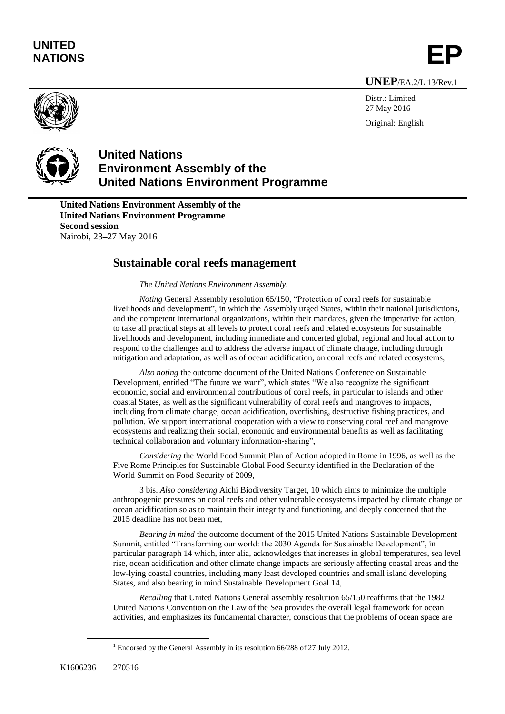## **UNITED** UNITED<br>NATIONS **EP**

**UNEP**/EA.2/L.13/Rev.1



Distr.: Limited 27 May 2016 Original: English



## **United Nations Environment Assembly of the United Nations Environment Programme**

**United Nations Environment Assembly of the United Nations Environment Programme Second session** Nairobi, 23**–**27 May 2016

## **Sustainable coral reefs management**

*The United Nations Environment Assembly,*

*Noting* General Assembly resolution 65/150, "Protection of coral reefs for sustainable livelihoods and development", in which the Assembly urged States, within their national jurisdictions, and the competent international organizations, within their mandates, given the imperative for action, to take all practical steps at all levels to protect coral reefs and related ecosystems for sustainable livelihoods and development, including immediate and concerted global, regional and local action to respond to the challenges and to address the adverse impact of climate change, including through mitigation and adaptation, as well as of ocean acidification, on coral reefs and related ecosystems,

*Also noting* the outcome document of the United Nations Conference on Sustainable Development, entitled "The future we want", which states "We also recognize the significant economic, social and environmental contributions of coral reefs, in particular to islands and other coastal States, as well as the significant vulnerability of coral reefs and mangroves to impacts, including from climate change, ocean acidification, overfishing, destructive fishing practices, and pollution. We support international cooperation with a view to conserving coral reef and mangrove ecosystems and realizing their social, economic and environmental benefits as well as facilitating technical collaboration and voluntary information-sharing",<sup>1</sup>

*Considering* the World Food Summit Plan of Action adopted in Rome in 1996, as well as the Five Rome Principles for Sustainable Global Food Security identified in the Declaration of the World Summit on Food Security of 2009,

3 bis. *Also considering* Aichi Biodiversity Target, 10 which aims to minimize the multiple anthropogenic pressures on coral reefs and other vulnerable ecosystems impacted by climate change or ocean acidification so as to maintain their integrity and functioning, and deeply concerned that the 2015 deadline has not been met,

*Bearing in mind* the outcome document of the 2015 United Nations Sustainable Development Summit, entitled "Transforming our world: the 2030 Agenda for Sustainable Development", in particular paragraph 14 which, inter alia, acknowledges that increases in global temperatures, sea level rise, ocean acidification and other climate change impacts are seriously affecting coastal areas and the low-lying coastal countries, including many least developed countries and small island developing States, and also bearing in mind Sustainable Development Goal 14,

*Recalling* that United Nations General assembly resolution 65/150 reaffirms that the 1982 United Nations Convention on the Law of the Sea provides the overall legal framework for ocean activities, and emphasizes its fundamental character, conscious that the problems of ocean space are

 $\overline{a}$ 

 $1$  Endorsed by the General Assembly in its resolution 66/288 of 27 July 2012.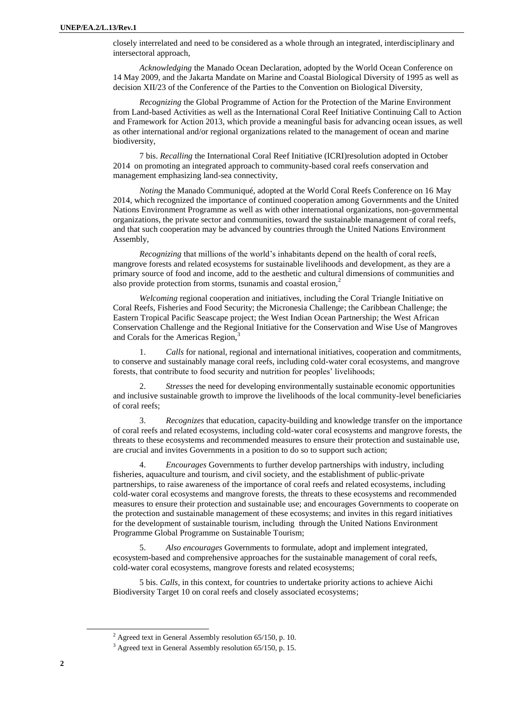closely interrelated and need to be considered as a whole through an integrated, interdisciplinary and intersectoral approach,

*Acknowledging* the Manado Ocean Declaration, adopted by the World Ocean Conference on 14 May 2009, and the Jakarta Mandate on Marine and Coastal Biological Diversity of 1995 as well as decision XII/23 of the Conference of the Parties to the Convention on Biological Diversity,

*Recognizing* the Global Programme of Action for the Protection of the Marine Environment from Land-based Activities as well as the International Coral Reef Initiative Continuing Call to Action and Framework for Action 2013, which provide a meaningful basis for advancing ocean issues, as well as other international and/or regional organizations related to the management of ocean and marine biodiversity,

7 bis. *Recalling* the International Coral Reef Initiative (ICRI)resolution adopted in October 2014 on promoting an integrated approach to community-based coral reefs conservation and management emphasizing land-sea connectivity,

*Noting* the Manado Communiqué, adopted at the World Coral Reefs Conference on 16 May 2014, which recognized the importance of continued cooperation among Governments and the United Nations Environment Programme as well as with other international organizations, non-governmental organizations, the private sector and communities, toward the sustainable management of coral reefs, and that such cooperation may be advanced by countries through the United Nations Environment Assembly,

*Recognizing* that millions of the world's inhabitants depend on the health of coral reefs, mangrove forests and related ecosystems for sustainable livelihoods and development, as they are a primary source of food and income, add to the aesthetic and cultural dimensions of communities and also provide protection from storms, tsunamis and coastal erosion,<sup>2</sup>

*Welcoming* regional cooperation and initiatives, including the Coral Triangle Initiative on Coral Reefs, Fisheries and Food Security; the Micronesia Challenge; the Caribbean Challenge; the Eastern Tropical Pacific Seascape project; the West Indian Ocean Partnership; the West African Conservation Challenge and the Regional Initiative for the Conservation and Wise Use of Mangroves and Corals for the Americas Region,<sup>3</sup>

1. *Calls* for national, regional and international initiatives, cooperation and commitments, to conserve and sustainably manage coral reefs, including cold-water coral ecosystems, and mangrove forests, that contribute to food security and nutrition for peoples' livelihoods;

2. *Stresses* the need for developing environmentally sustainable economic opportunities and inclusive sustainable growth to improve the livelihoods of the local community-level beneficiaries of coral reefs;

3. *Recognizes* that education, capacity-building and knowledge transfer on the importance of coral reefs and related ecosystems, including cold-water coral ecosystems and mangrove forests, the threats to these ecosystems and recommended measures to ensure their protection and sustainable use, are crucial and invites Governments in a position to do so to support such action;

4. *Encourages* Governments to further develop partnerships with industry, including fisheries, aquaculture and tourism, and civil society, and the establishment of public-private partnerships, to raise awareness of the importance of coral reefs and related ecosystems, including cold-water coral ecosystems and mangrove forests, the threats to these ecosystems and recommended measures to ensure their protection and sustainable use; and encourages Governments to cooperate on the protection and sustainable management of these ecosystems; and invites in this regard initiatives for the development of sustainable tourism, including through the United Nations Environment Programme Global Programme on Sustainable Tourism;

5. *Also encourages* Governments to formulate, adopt and implement integrated, ecosystem-based and comprehensive approaches for the sustainable management of coral reefs, cold-water coral ecosystems, mangrove forests and related ecosystems;

5 bis. *Calls,* in this context, for countries to undertake priority actions to achieve Aichi Biodiversity Target 10 on coral reefs and closely associated ecosystems;

 $\overline{a}$ 

 $^{2}$  Agreed text in General Assembly resolution 65/150, p. 10.

 $3$  Agreed text in General Assembly resolution 65/150, p. 15.